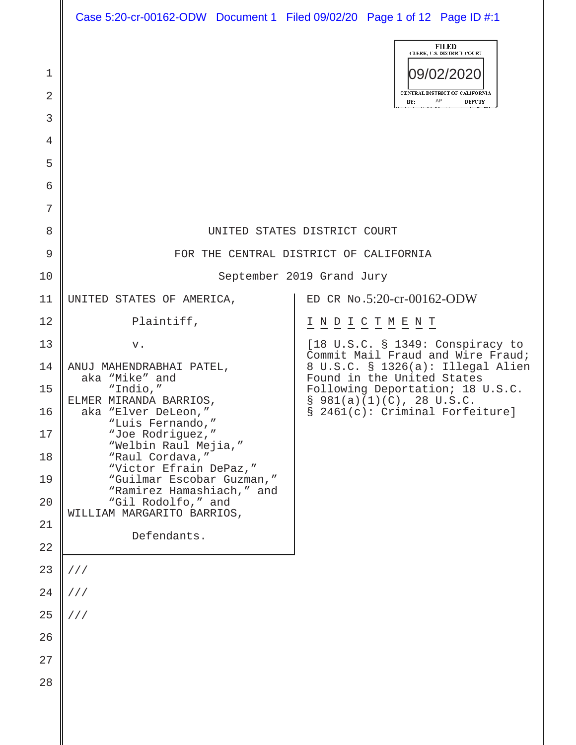| Case 5:20-cr-00162-ODW Document 1 Filed 09/02/20 Page 1 of 12 Page ID #:1 |  |  |
|---------------------------------------------------------------------------|--|--|
|                                                                           |  |  |

|                     |                                                                        | <b>FILED</b><br><b>CLERK, U.S. DISTRICT COURT</b>                                                                                                                                                                                                         |  |  |  |
|---------------------|------------------------------------------------------------------------|-----------------------------------------------------------------------------------------------------------------------------------------------------------------------------------------------------------------------------------------------------------|--|--|--|
| 1<br>$\overline{2}$ |                                                                        | 09/02/2020<br>CENTRAL DISTRICT OF CALIFORNIA<br>AP                                                                                                                                                                                                        |  |  |  |
| 3                   |                                                                        | <b>DEPUTY</b><br>BY:                                                                                                                                                                                                                                      |  |  |  |
| 4                   |                                                                        |                                                                                                                                                                                                                                                           |  |  |  |
| 5                   |                                                                        |                                                                                                                                                                                                                                                           |  |  |  |
| 6                   |                                                                        |                                                                                                                                                                                                                                                           |  |  |  |
| 7                   |                                                                        |                                                                                                                                                                                                                                                           |  |  |  |
| 8                   | UNITED STATES DISTRICT COURT                                           |                                                                                                                                                                                                                                                           |  |  |  |
| 9                   | FOR THE CENTRAL DISTRICT OF CALIFORNIA                                 |                                                                                                                                                                                                                                                           |  |  |  |
| 10                  |                                                                        | September 2019 Grand Jury                                                                                                                                                                                                                                 |  |  |  |
| 11                  | UNITED STATES OF AMERICA,                                              | ED CR No.5:20-cr-00162-ODW                                                                                                                                                                                                                                |  |  |  |
| 12                  | Plaintiff,                                                             | $\underline{\texttt{I}} \ \underline{\texttt{N}} \ \underline{\texttt{D}} \ \underline{\texttt{I}} \ \underline{\texttt{C}} \ \underline{\texttt{T}} \ \underline{\texttt{M}} \ \underline{\texttt{E}} \ \underline{\texttt{N}} \ \underline{\texttt{T}}$ |  |  |  |
| 13                  | v.                                                                     | $[18 \t{U.S.C.} \t{S} 1349: \t{Conspiracy to}$<br>Commit Mail Fraud and Wire Fraud;                                                                                                                                                                       |  |  |  |
| 14                  | ANUJ MAHENDRABHAI PATEL,<br>aka "Mike" and                             | 8 U.S.C. § 1326(a): Illegal Alien<br>Found in the United States                                                                                                                                                                                           |  |  |  |
| 15                  | "Indio,"<br>ELMER MIRANDA BARRIOS,                                     | Following Deportation; 18 U.S.C.<br>$$981(a)(1)(C)$ , 28 U.S.C.                                                                                                                                                                                           |  |  |  |
| 16                  | aka "Elver DeLeon,"<br>"Luis Fernando,"                                | § 2461(c): Criminal Forfeiture]                                                                                                                                                                                                                           |  |  |  |
| 17                  | "Joe Rodriguez,"<br>"Welbin Raul Mejia,"                               |                                                                                                                                                                                                                                                           |  |  |  |
| 18<br>19            | "Raul Cordava,"<br>"Victor Efrain DePaz,"<br>"Guilmar Escobar Guzman," |                                                                                                                                                                                                                                                           |  |  |  |
| 20                  | "Ramirez Hamashiach," and<br>"Gil Rodolfo," and                        |                                                                                                                                                                                                                                                           |  |  |  |
| 21                  | WILLIAM MARGARITO BARRIOS,                                             |                                                                                                                                                                                                                                                           |  |  |  |
| 22                  | Defendants.                                                            |                                                                                                                                                                                                                                                           |  |  |  |
| 23                  | //                                                                     |                                                                                                                                                                                                                                                           |  |  |  |
| 24                  | //                                                                     |                                                                                                                                                                                                                                                           |  |  |  |
| 25                  | 111                                                                    |                                                                                                                                                                                                                                                           |  |  |  |
| 26                  |                                                                        |                                                                                                                                                                                                                                                           |  |  |  |
| 27                  |                                                                        |                                                                                                                                                                                                                                                           |  |  |  |
| 28                  |                                                                        |                                                                                                                                                                                                                                                           |  |  |  |
|                     |                                                                        |                                                                                                                                                                                                                                                           |  |  |  |
|                     |                                                                        |                                                                                                                                                                                                                                                           |  |  |  |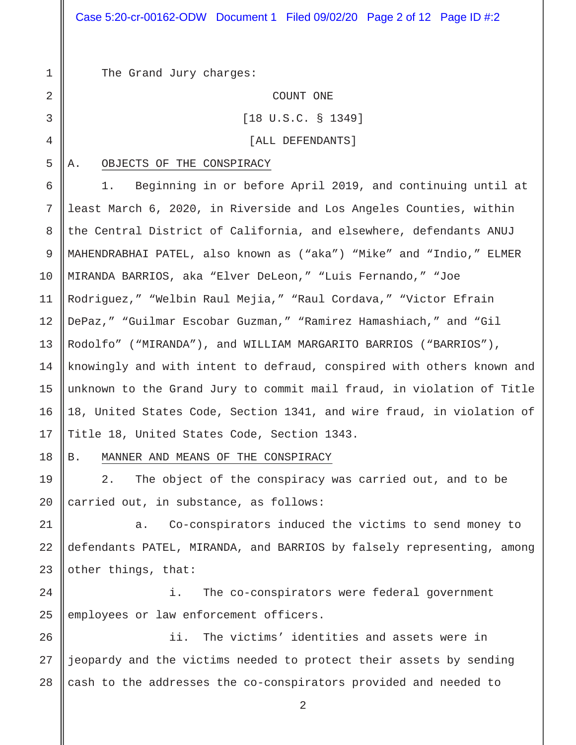The Grand Jury charges:

COUNT ONE

[18 U.S.C. § 1349]

[ALL DEFENDANTS]

## A. OBJECTS OF THE CONSPIRACY

6 7 8 9 10 11 12 13 14 15 16 17 1. Beginning in or before April 2019, and continuing until at least March 6, 2020, in Riverside and Los Angeles Counties, within the Central District of California, and elsewhere, defendants ANUJ MAHENDRABHAI PATEL, also known as ("aka") "Mike" and "Indio," ELMER MIRANDA BARRIOS, aka "Elver DeLeon," "Luis Fernando," "Joe Rodriguez," "Welbin Raul Mejia," "Raul Cordava," "Victor Efrain DePaz," "Guilmar Escobar Guzman," "Ramirez Hamashiach," and "Gil Rodolfo" ("MIRANDA"), and WILLIAM MARGARITO BARRIOS ("BARRIOS"), knowingly and with intent to defraud, conspired with others known and unknown to the Grand Jury to commit mail fraud, in violation of Title 18, United States Code, Section 1341, and wire fraud, in violation of Title 18, United States Code, Section 1343.

18

19

20

1

2

3

4

5

B. MANNER AND MEANS OF THE CONSPIRACY

2. The object of the conspiracy was carried out, and to be carried out, in substance, as follows:

21 22 23 a. Co-conspirators induced the victims to send money to defendants PATEL, MIRANDA, and BARRIOS by falsely representing, among other things, that:

24 25 i. The co-conspirators were federal government employees or law enforcement officers.

26 27 28 ii. The victims' identities and assets were in jeopardy and the victims needed to protect their assets by sending cash to the addresses the co-conspirators provided and needed to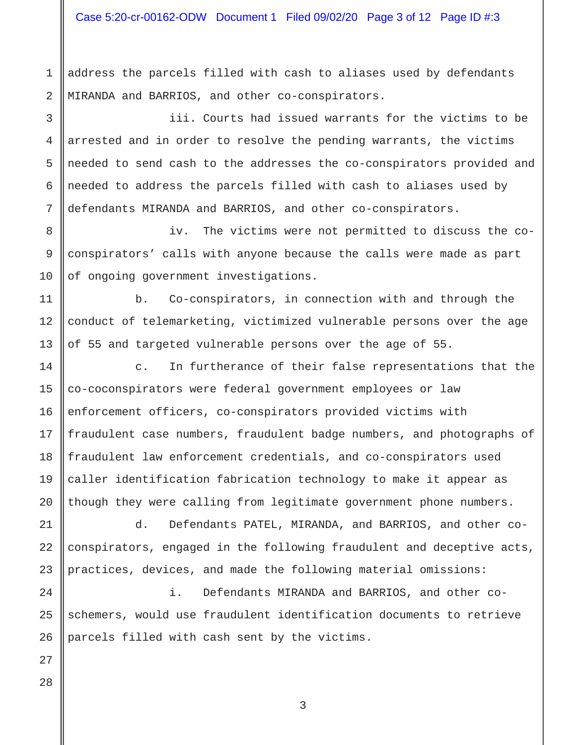Case 5:20-cr-00162-ODW Document 1 Filed 09/02/20 Page 3 of 12 Page ID #:3

address the parcels filled with cash to aliases used by defendants MIRANDA and BARRIOS, and other co-conspirators.

3 4 5 6 7 iii. Courts had issued warrants for the victims to be arrested and in order to resolve the pending warrants, the victims needed to send cash to the addresses the co-conspirators provided and needed to address the parcels filled with cash to aliases used by defendants MIRANDA and BARRIOS, and other co-conspirators.

8 9 10 iv. The victims were not permitted to discuss the coconspirators' calls with anyone because the calls were made as part of ongoing government investigations.

b. Co-conspirators, in connection with and through the conduct of telemarketing, victimized vulnerable persons over the age of 55 and targeted vulnerable persons over the age of 55.

14 c. In furtherance of their false representations that the co-coconspirators were federal government employees or law enforcement officers, co-conspirators provided victims with fraudulent case numbers, fraudulent badge numbers, and photographs of fraudulent law enforcement credentials, and co-conspirators used caller identification fabrication technology to make it appear as though they were calling from legitimate government phone numbers.

d. Defendants PATEL, MIRANDA, and BARRIOS, and other coconspirators, engaged in the following fraudulent and deceptive acts, practices, devices, and made the following material omissions:

i. Defendants MIRANDA and BARRIOS, and other coschemers, would use fraudulent identification documents to retrieve parcels filled with cash sent by the victims.

28

1

2

11

12

13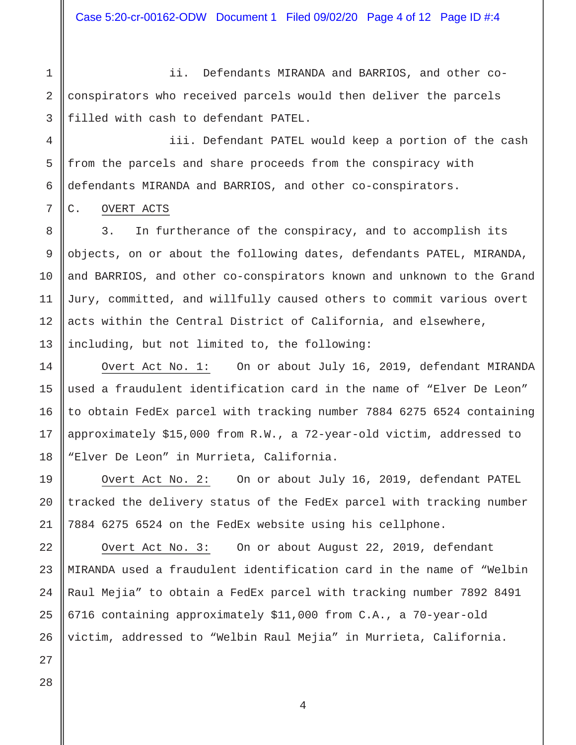Case 5:20-cr-00162-ODW Document 1 Filed 09/02/20 Page 4 of 12 Page ID #:4

1

2

3

7

8

9

10

11

12

13

14

15

16

17

18

19

20

21

22

23

24

25

ii. Defendants MIRANDA and BARRIOS, and other coconspirators who received parcels would then deliver the parcels filled with cash to defendant PATEL.

4 5 6 iii. Defendant PATEL would keep a portion of the cash from the parcels and share proceeds from the conspiracy with defendants MIRANDA and BARRIOS, and other co-conspirators.

## C. OVERT ACTS

3. In furtherance of the conspiracy, and to accomplish its objects, on or about the following dates, defendants PATEL, MIRANDA, and BARRIOS, and other co-conspirators known and unknown to the Grand Jury, committed, and willfully caused others to commit various overt acts within the Central District of California, and elsewhere, including, but not limited to, the following:

Overt Act No. 1: On or about July 16, 2019, defendant MIRANDA used a fraudulent identification card in the name of "Elver De Leon" to obtain FedEx parcel with tracking number 7884 6275 6524 containing approximately \$15,000 from R.W., a 72-year-old victim, addressed to "Elver De Leon" in Murrieta, California.

Overt Act No. 2: On or about July 16, 2019, defendant PATEL tracked the delivery status of the FedEx parcel with tracking number 7884 6275 6524 on the FedEx website using his cellphone.

Overt Act No. 3: On or about August 22, 2019, defendant MIRANDA used a fraudulent identification card in the name of "Welbin Raul Mejia" to obtain a FedEx parcel with tracking number 7892 8491 6716 containing approximately \$11,000 from C.A., a 70-year-old victim, addressed to "Welbin Raul Mejia" in Murrieta, California.

26 27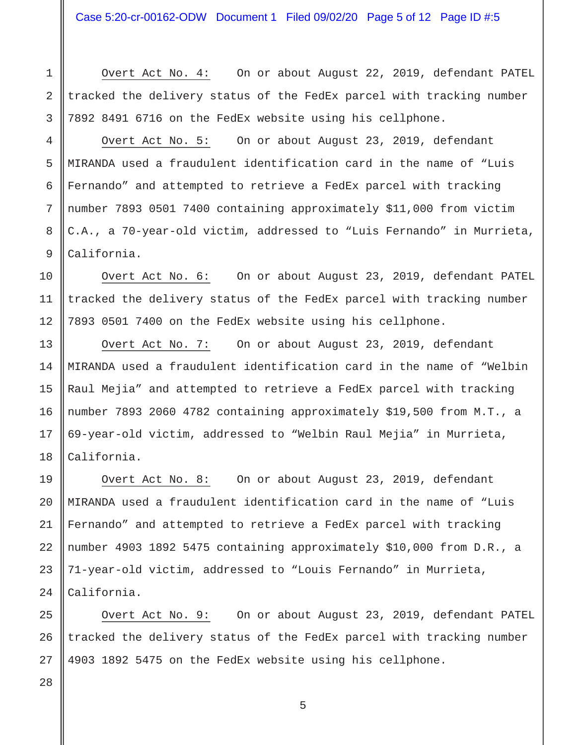Overt Act No. 4: On or about August 22, 2019, defendant PATEL tracked the delivery status of the FedEx parcel with tracking number 7892 8491 6716 on the FedEx website using his cellphone.

Overt Act No. 5: On or about August 23, 2019, defendant MIRANDA used a fraudulent identification card in the name of "Luis Fernando" and attempted to retrieve a FedEx parcel with tracking number 7893 0501 7400 containing approximately \$11,000 from victim C.A., a 70-year-old victim, addressed to "Luis Fernando" in Murrieta, California.

Overt Act No. 6: On or about August 23, 2019, defendant PATEL tracked the delivery status of the FedEx parcel with tracking number 7893 0501 7400 on the FedEx website using his cellphone.

Overt Act No. 7: On or about August 23, 2019, defendant MIRANDA used a fraudulent identification card in the name of "Welbin Raul Mejia" and attempted to retrieve a FedEx parcel with tracking number 7893 2060 4782 containing approximately \$19,500 from M.T., a 69-year-old victim, addressed to "Welbin Raul Mejia" in Murrieta, California.

Overt Act No. 8: On or about August 23, 2019, defendant MIRANDA used a fraudulent identification card in the name of "Luis Fernando" and attempted to retrieve a FedEx parcel with tracking number 4903 1892 5475 containing approximately \$10,000 from D.R., a 71-year-old victim, addressed to "Louis Fernando" in Murrieta, California.

Overt Act No. 9: On or about August 23, 2019, defendant PATEL tracked the delivery status of the FedEx parcel with tracking number 4903 1892 5475 on the FedEx website using his cellphone.

1

2

3

4

5

6

7

8

9

10

11

12

13

14

15

16

28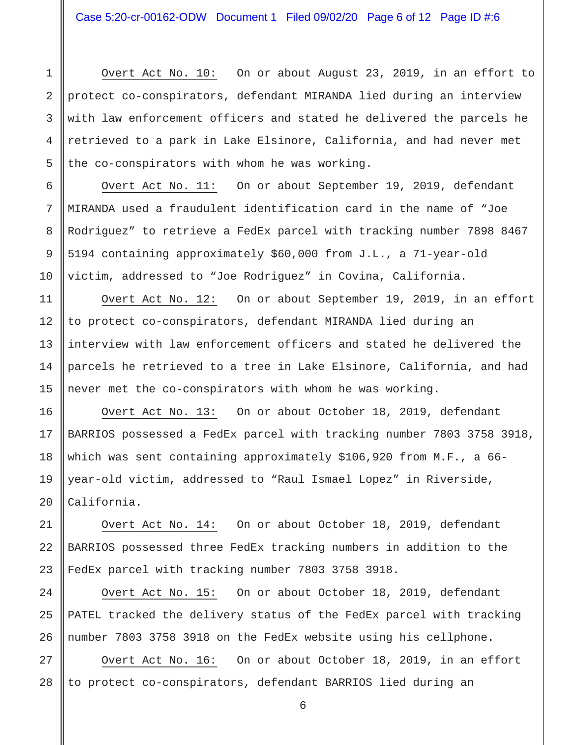6

7

8

9

10

11

12

13

14

15

16

17

18

19

20

21

22

23

24

25

26

1

Overt Act No. 10: On or about August 23, 2019, in an effort to protect co-conspirators, defendant MIRANDA lied during an interview with law enforcement officers and stated he delivered the parcels he retrieved to a park in Lake Elsinore, California, and had never met the co-conspirators with whom he was working.

Overt Act No. 11: On or about September 19, 2019, defendant MIRANDA used a fraudulent identification card in the name of "Joe Rodriguez" to retrieve a FedEx parcel with tracking number 7898 8467 5194 containing approximately \$60,000 from J.L., a 71-year-old victim, addressed to "Joe Rodriguez" in Covina, California.

Overt Act No. 12: On or about September 19, 2019, in an effort to protect co-conspirators, defendant MIRANDA lied during an interview with law enforcement officers and stated he delivered the parcels he retrieved to a tree in Lake Elsinore, California, and had never met the co-conspirators with whom he was working.

Overt Act No. 13: On or about October 18, 2019, defendant BARRIOS possessed a FedEx parcel with tracking number 7803 3758 3918, which was sent containing approximately \$106,920 from M.F., a 66 year-old victim, addressed to "Raul Ismael Lopez" in Riverside, California.

Overt Act No. 14: On or about October 18, 2019, defendant BARRIOS possessed three FedEx tracking numbers in addition to the FedEx parcel with tracking number 7803 3758 3918.

Overt Act No. 15: On or about October 18, 2019, defendant PATEL tracked the delivery status of the FedEx parcel with tracking number 7803 3758 3918 on the FedEx website using his cellphone.

27 28 Overt Act No. 16: On or about October 18, 2019, in an effort to protect co-conspirators, defendant BARRIOS lied during an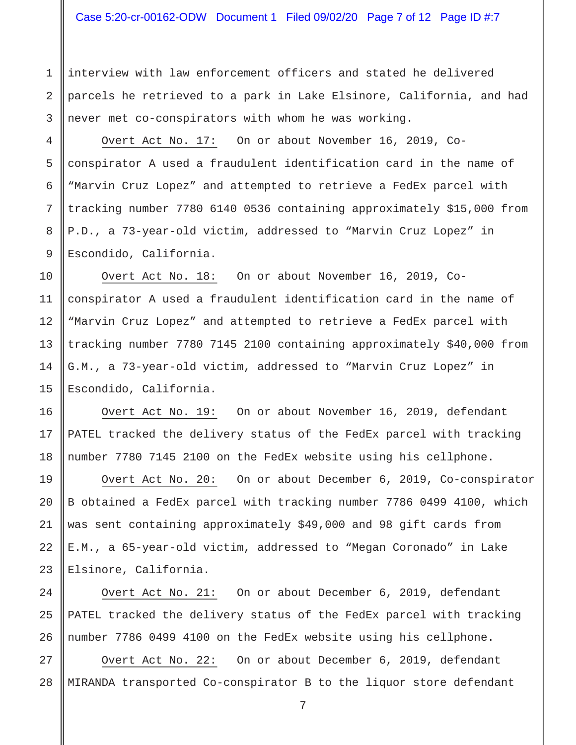interview with law enforcement officers and stated he delivered parcels he retrieved to a park in Lake Elsinore, California, and had never met co-conspirators with whom he was working.

Overt Act No. 17: On or about November 16, 2019, Coconspirator A used a fraudulent identification card in the name of "Marvin Cruz Lopez" and attempted to retrieve a FedEx parcel with tracking number 7780 6140 0536 containing approximately \$15,000 from P.D., a 73-year-old victim, addressed to "Marvin Cruz Lopez" in Escondido, California.

Overt Act No. 18: On or about November 16, 2019, Coconspirator A used a fraudulent identification card in the name of "Marvin Cruz Lopez" and attempted to retrieve a FedEx parcel with tracking number 7780 7145 2100 containing approximately \$40,000 from G.M., a 73-year-old victim, addressed to "Marvin Cruz Lopez" in Escondido, California.

Overt Act No. 19: On or about November 16, 2019, defendant PATEL tracked the delivery status of the FedEx parcel with tracking number 7780 7145 2100 on the FedEx website using his cellphone.

Overt Act No. 20: On or about December 6, 2019, Co-conspirator B obtained a FedEx parcel with tracking number 7786 0499 4100, which was sent containing approximately \$49,000 and 98 gift cards from E.M., a 65-year-old victim, addressed to "Megan Coronado" in Lake Elsinore, California.

Overt Act No. 21: On or about December 6, 2019, defendant PATEL tracked the delivery status of the FedEx parcel with tracking number 7786 0499 4100 on the FedEx website using his cellphone.

28 Overt Act No. 22: On or about December 6, 2019, defendant MIRANDA transported Co-conspirator B to the liquor store defendant

1

2

3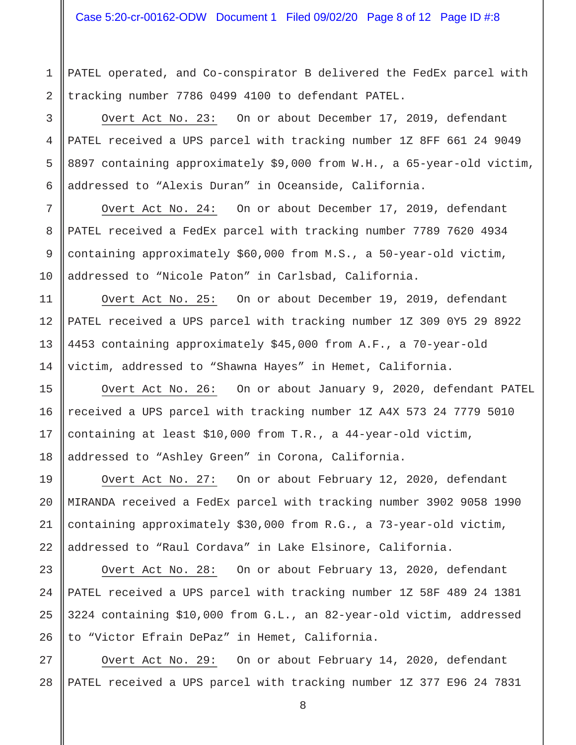PATEL operated, and Co-conspirator B delivered the FedEx parcel with tracking number 7786 0499 4100 to defendant PATEL.

Overt Act No. 23: On or about December 17, 2019, defendant PATEL received a UPS parcel with tracking number 1Z 8FF 661 24 9049 8897 containing approximately \$9,000 from W.H., a 65-year-old victim, addressed to "Alexis Duran" in Oceanside, California.

Overt Act No. 24: On or about December 17, 2019, defendant PATEL received a FedEx parcel with tracking number 7789 7620 4934 containing approximately \$60,000 from M.S., a 50-year-old victim, addressed to "Nicole Paton" in Carlsbad, California.

Overt Act No. 25: On or about December 19, 2019, defendant PATEL received a UPS parcel with tracking number 1Z 309 0Y5 29 8922 4453 containing approximately \$45,000 from A.F., a 70-year-old victim, addressed to "Shawna Hayes" in Hemet, California.

Overt Act No. 26: On or about January 9, 2020, defendant PATEL received a UPS parcel with tracking number 1Z A4X 573 24 7779 5010 containing at least \$10,000 from T.R., a 44-year-old victim, addressed to "Ashley Green" in Corona, California.

Overt Act No. 27: On or about February 12, 2020, defendant MIRANDA received a FedEx parcel with tracking number 3902 9058 1990 containing approximately \$30,000 from R.G., a 73-year-old victim, addressed to "Raul Cordava" in Lake Elsinore, California.

Overt Act No. 28: On or about February 13, 2020, defendant PATEL received a UPS parcel with tracking number 1Z 58F 489 24 1381 3224 containing \$10,000 from G.L., an 82-year-old victim, addressed to "Victor Efrain DePaz" in Hemet, California.

Overt Act No. 29: On or about February 14, 2020, defendant PATEL received a UPS parcel with tracking number 1Z 377 E96 24 7831

1

2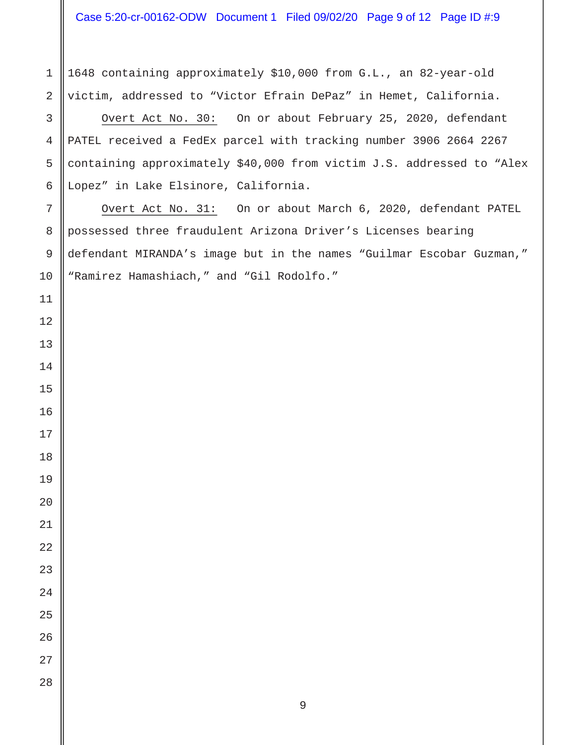Case 5:20-cr-00162-ODW Document 1 Filed 09/02/20 Page 9 of 12 Page ID #:9

1648 containing approximately \$10,000 from G.L., an 82-year-old victim, addressed to "Victor Efrain DePaz" in Hemet, California.

Overt Act No. 30: On or about February 25, 2020, defendant PATEL received a FedEx parcel with tracking number 3906 2664 2267 containing approximately \$40,000 from victim J.S. addressed to "Alex Lopez" in Lake Elsinore, California.

Overt Act No. 31: On or about March 6, 2020, defendant PATEL possessed three fraudulent Arizona Driver's Licenses bearing defendant MIRANDA's image but in the names "Guilmar Escobar Guzman," "Ramirez Hamashiach," and "Gil Rodolfo."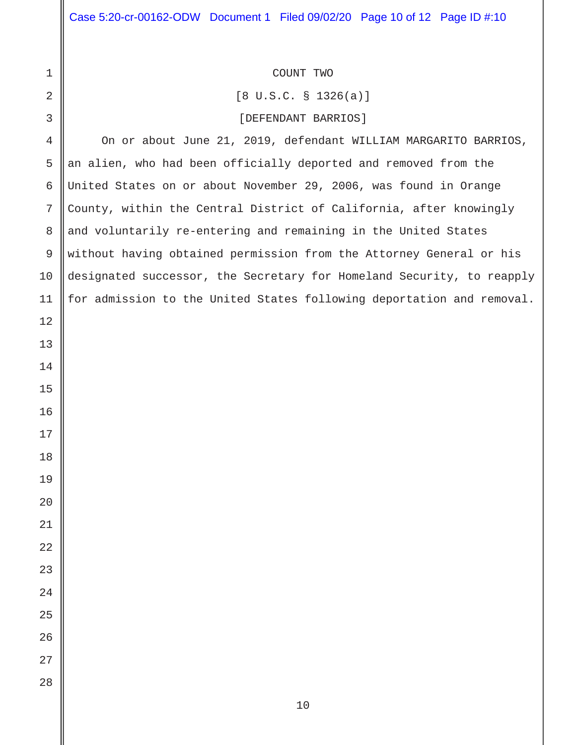| $\mathbf 1$   | COUNT TWO                                                             |  |  |  |  |
|---------------|-----------------------------------------------------------------------|--|--|--|--|
| 2             | $[8 \text{ U.S.C. } $1326(a)]$                                        |  |  |  |  |
| 3             | [DEFENDANT BARRIOS]                                                   |  |  |  |  |
| 4             | On or about June 21, 2019, defendant WILLIAM MARGARITO BARRIOS,       |  |  |  |  |
| 5             | an alien, who had been officially deported and removed from the       |  |  |  |  |
| 6             | United States on or about November 29, 2006, was found in Orange      |  |  |  |  |
| 7             | County, within the Central District of California, after knowingly    |  |  |  |  |
| 8             | and voluntarily re-entering and remaining in the United States        |  |  |  |  |
| $\mathcal{G}$ | without having obtained permission from the Attorney General or his   |  |  |  |  |
| 10            | designated successor, the Secretary for Homeland Security, to reapply |  |  |  |  |
| 11            | for admission to the United States following deportation and removal. |  |  |  |  |
| 12            |                                                                       |  |  |  |  |
| 13            |                                                                       |  |  |  |  |
| 14            |                                                                       |  |  |  |  |
| 15            |                                                                       |  |  |  |  |
| 16            |                                                                       |  |  |  |  |
| 17            |                                                                       |  |  |  |  |
| 18            |                                                                       |  |  |  |  |
| 19            |                                                                       |  |  |  |  |
| $20\,$        |                                                                       |  |  |  |  |
| $21\,$        |                                                                       |  |  |  |  |
| $2\sqrt{2}$   |                                                                       |  |  |  |  |
| 23            |                                                                       |  |  |  |  |
| $2\sqrt{4}$   |                                                                       |  |  |  |  |
| 25            |                                                                       |  |  |  |  |
| 26            |                                                                       |  |  |  |  |
| 27            |                                                                       |  |  |  |  |
| 28            |                                                                       |  |  |  |  |
|               | $10$                                                                  |  |  |  |  |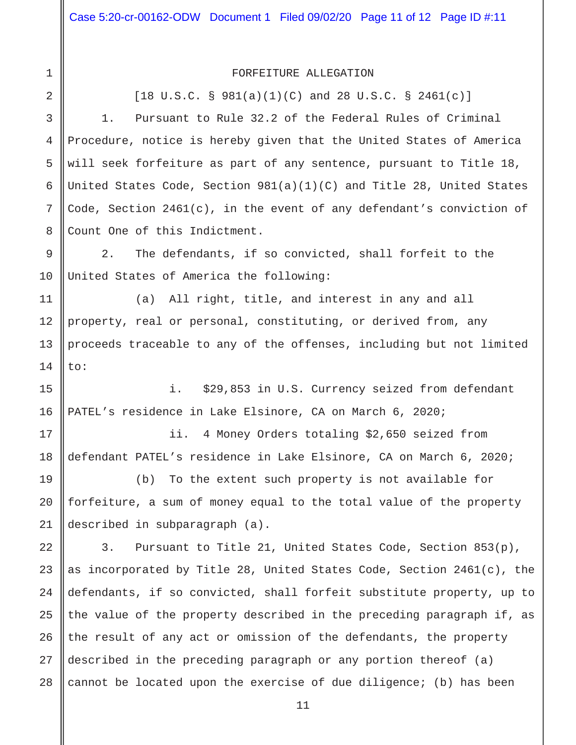1

2

11

12

13

14

## FORFEITURE ALLEGATION

 $[18 \text{ U.S.C. } § 981(a)(1)(C) \text{ and } 28 \text{ U.S.C. } § 2461(c)]$ 

3 4 5 6 7 8 1. Pursuant to Rule 32.2 of the Federal Rules of Criminal Procedure, notice is hereby given that the United States of America will seek forfeiture as part of any sentence, pursuant to Title 18, United States Code, Section 981(a)(1)(C) and Title 28, United States Code, Section  $2461(c)$ , in the event of any defendant's conviction of Count One of this Indictment.

9 10 2. The defendants, if so convicted, shall forfeit to the United States of America the following:

(a) All right, title, and interest in any and all property, real or personal, constituting, or derived from, any proceeds traceable to any of the offenses, including but not limited to:

15 16 i. \$29,853 in U.S. Currency seized from defendant PATEL's residence in Lake Elsinore, CA on March 6, 2020;

17 18 ii. 4 Money Orders totaling \$2,650 seized from defendant PATEL's residence in Lake Elsinore, CA on March 6, 2020;

19 20 21 (b) To the extent such property is not available for forfeiture, a sum of money equal to the total value of the property described in subparagraph (a).

22 23 24 25 26 27 28 3. Pursuant to Title 21, United States Code, Section 853(p), as incorporated by Title 28, United States Code, Section 2461(c), the defendants, if so convicted, shall forfeit substitute property, up to the value of the property described in the preceding paragraph if, as the result of any act or omission of the defendants, the property described in the preceding paragraph or any portion thereof (a) cannot be located upon the exercise of due diligence; (b) has been